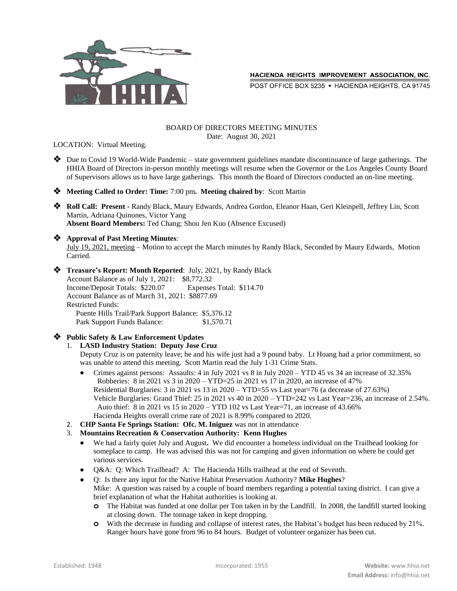

POST OFFICE BOX 5235 . HACIENDA HEIGHTS, CA 91745

#### BOARD OF DIRECTORS MEETING MINUTES Date: August 30, 2021

LOCATION: Virtual Meeting.

 Due to Covid 19 World-Wide Pandemic – state government guidelines mandate discontinuance of large gatherings. The HHIA Board of Directors in-person monthly meetings will resume when the Governor or the Los Angeles County Board of Supervisors allows us to have large gatherings. This month the Board of Directors conducted an on-line meeting.

**Meeting Called to Order: Time:** 7:00 pm**. Meeting chaired by**: Scott Martin

 **Roll Call: Present -** Randy Black, Maury Edwards, Andrea Gordon, Eleanor Haan, Geri Kleinpell, Jeffrey Lin, Scott Martin, Adriana Quinones, Victor Yang **Absent Board Members:** Ted Chang; Shou Jen Kuo (Absence Excused)

#### **Approval of Past Meeting Minutes**:

July 19, 2021, meeting – Motion to accept the March minutes by Randy Black, Seconded by Maury Edwards, Motion Carried.

 **Treasure's Report: Month Reported**: July, 2021, by Randy Black Account Balance as of July 1, 2021: \$8,772.32 Income/Deposit Totals: \$220.07 Expenses Total: \$114.70 Account Balance as of March 31, 2021: \$8877.69 Restricted Funds: Puente Hills Trail/Park Support Balance: \$5,376.12 Park Support Funds Balance: \$1,570.71

## **Public Safety & Law Enforcement Updates**

## 1. **LASD Industry Station: Deputy Jose Cruz**

Deputy Cruz is on paternity leave; he and his wife just had a 9 pound baby. Lt Hoang had a prior commitment, so was unable to attend this meeting. Scott Martin read the July 1-31 Crime Stats.

- Crimes against persons: Assaults: 4 in July 2021 vs 8 in July 2020 YTD 45 vs 34 an increase of 32.35% Robberies: 8 in 2021 vs 3 in 2020 – YTD=25 in 2021 vs 17 in 2020, an increase of 47% Residential Burglaries: 3 in 2021 vs 13 in 2020 – YTD=55 vs Last year=76 (a decrease of 27.63%) Vehicle Burglaries: Grand Thief: 25 in 2021 vs 40 in 2020 – YTD=242 vs Last Year=236, an increase of 2.54%. Auto thief: 8 in 2021 vs 15 in 2020 – YTD 102 vs Last Year=71, an increase of 43.66% Hacienda Heights overall crime rate of 2021 is 8.99% compared to 2020.
- 2. **CHP Santa Fe Springs Station: Ofc. M. Iniguez** was not in attendance
- 3. **Mountains Recreation & Conservation Authority: Kenn Hughes**
	- We had a fairly quiet July and August**.** We did encounter a homeless individual on the Trailhead looking for someplace to camp. He was advised this was not for camping and given information on where he could get various services.
	- Q&A: Q: Which Trailhead? A: The Hacienda Hills trailhead at the end of Seventh.
	- Q: Is there any input for the Native Habitat Preservation Authority? **Mike Hughes**? Mike: A question was raised by a couple of board members regarding a potential taxing district. I can give a brief explanation of what the Habitat authorities is looking at.
		- **o** The Habitat was funded at one dollar per Ton taken in by the Landfill. In 2008, the landfill started looking at closing down. The tonnage taken in kept dropping.
		- **o** With the decrease in funding and collapse of interest rates, the Habitat's budget has been reduced by 21%. Ranger hours have gone from 96 to 84 hours. Budget of volunteer organizer has been cut.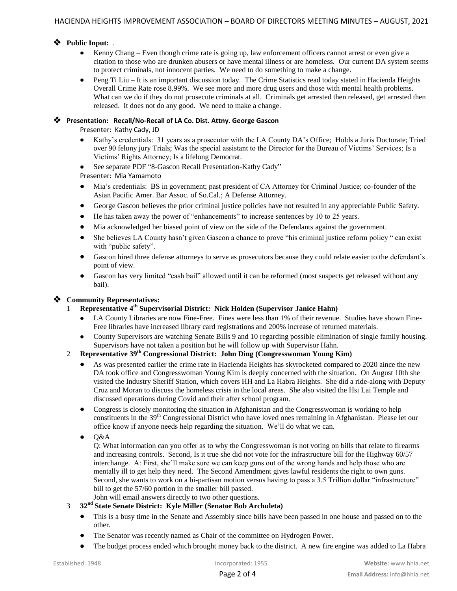## **Public Input:** .

- Kenny Chang Even though crime rate is going up, law enforcement officers cannot arrest or even give a citation to those who are drunken abusers or have mental illness or are homeless. Our current DA system seems to protect criminals, not innocent parties. We need to do something to make a change.
- Peng Ti Liu It is an important discussion today. The Crime Statistics read today stated in Hacienda Heights Overall Crime Rate rose 8.99%. We see more and more drug users and those with mental health problems. What can we do if they do not prosecute criminals at all. Criminals get arrested then released, get arrested then released. It does not do any good. We need to make a change.

## **Presentation: Recall/No-Recall of LA Co. Dist. Attny. George Gascon**

Presenter: Kathy Cady, JD

- Kathy's credentials: 31 years as a prosecutor with the LA County DA's Office; Holds a Juris Doctorate; Tried over 90 felony jury Trials; Was the special assistant to the Director for the Bureau of Victims' Services; Is a Victims' Rights Attorney; Is a lifelong Democrat.
- See separate PDF "8-Gascon Recall Presentation-Kathy Cady"

Presenter: Mia Yamamoto

- Mia's credentials: BS in government; past president of CA Attorney for Criminal Justice; co-founder of the Asian Pacific Amer. Bar Assoc. of So.Cal.; A Defense Attorney.
- George Gascon believes the prior criminal justice policies have not resulted in any appreciable Public Safety.
- He has taken away the power of "enhancements" to increase sentences by 10 to 25 years.
- Mia acknowledged her biased point of view on the side of the Defendants against the government.
- She believes LA County hasn't given Gascon a chance to prove "his criminal justice reform policy " can exist with "public safety".
- Gascon hired three defense attorneys to serve as prosecutors because they could relate easier to the defendant's point of view.
- Gascon has very limited "cash bail" allowed until it can be reformed (most suspects get released without any bail).

## **Community Representatives:**

- 1 **Representative 4th Supervisorial District: Nick Holden (Supervisor Janice Hahn)**
	- LA County Libraries are now Fine-Free. Fines were less than 1% of their revenue. Studies have shown Fine-Free libraries have increased library card registrations and 200% increase of returned materials.
	- County Supervisors are watching Senate Bills 9 and 10 regarding possible elimination of single family housing. Supervisors have not taken a position but he will follow up with Supervisor Hahn.

## 2 **Representative 39th Congressional District: John Ding (Congresswoman Young Kim)**

- As was presented earlier the crime rate in Hacienda Heights has skyrocketed compared to 2020 aince the new DA took office and Congresswoman Young Kim is deeply concerned with the situation. On August 10th she visited the Industry Sheriff Station, which covers HH and La Habra Heights. She did a ride-along with Deputy Cruz and Moran to discuss the homeless crisis in the local areas. She also visited the Hsi Lai Temple and discussed operations during Covid and their after school program.
- Congress is closely monitoring the situation in Afghanistan and the Congresswoman is working to help constituents in the 39<sup>th</sup> Congressional District who have loved ones remaining in Afghanistan. Please let our office know if anyone needs help regarding the situation. We'll do what we can.
- Q&A

Q: What information can you offer as to why the Congresswoman is not voting on bills that relate to firearms and increasing controls. Second, Is it true she did not vote for the infrastructure bill for the Highway 60/57 interchange. A: First, she'll make sure we can keep guns out of the wrong hands and help those who are mentally ill to get help they need. The Second Amendment gives lawful residents the right to own guns. Second, she wants to work on a bi-partisan motion versus having to pass a 3.5 Trillion dollar "infrastructure" bill to get the 57/60 portion in the smaller bill passed.

- John will email answers directly to two other questions.
- 3 **32nd State Senate District: Kyle Miller (Senator Bob Archuleta)**
	- This is a busy time in the Senate and Assembly since bills have been passed in one house and passed on to the other.
	- The Senator was recently named as Chair of the committee on Hydrogen Power.
	- The budget process ended which brought money back to the district. A new fire engine was added to La Habra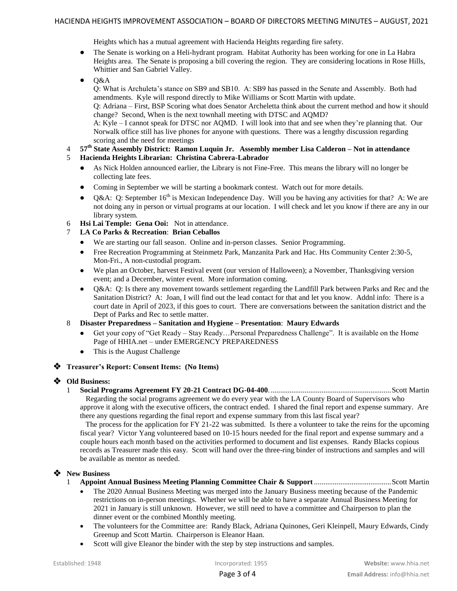Heights which has a mutual agreement with Hacienda Heights regarding fire safety.

- The Senate is working on a Heli-hydrant program. Habitat Authority has been working for one in La Habra Heights area. The Senate is proposing a bill covering the region. They are considering locations in Rose Hills, Whittier and San Gabriel Valley.
- $O&A$

Q: What is Archuleta's stance on SB9 and SB10. A: SB9 has passed in the Senate and Assembly. Both had amendments. Kyle will respond directly to Mike Williams or Scott Martin with update.

Q: Adriana – First, BSP Scoring what does Senator Archeletta think about the current method and how it should change? Second, When is the next townhall meeting with DTSC and AQMD?

A: Kyle – I cannot speak for DTSC nor AQMD. I will look into that and see when they're planning that. Our Norwalk office still has live phones for anyone with questions. There was a lengthy discussion regarding scoring and the need for meetings

- 4 **57th State Assembly District: Ramon Luquin Jr. Assembly member Lisa Calderon – Not in attendance** 5 **Hacienda Heights Librarian: Christina Cabrera-Labrador**
	- As Nick Holden announced earlier, the Library is not Fine-Free. This means the library will no longer be collecting late fees.
	- Coming in September we will be starting a bookmark contest. Watch out for more details.
	- Q&A: Q: September  $16<sup>th</sup>$  is Mexican Independence Day. Will you be having any activities for that? A: We are not doing any in person or virtual programs at our location. I will check and let you know if there are any in our library system.
- 6 **Hsi Lai Temple: Gena Ooi:** Not in attendance.
- 7 **LA Co Parks & Recreation**: **Brian Ceballos**
	- We are starting our fall season. Online and in-person classes. Senior Programming.
	- Free Recreation Programming at Steinmetz Park, Manzanita Park and Hac. Hts Community Center 2:30-5, Mon-Fri., A non-custodial program.
	- We plan an October, harvest Festival event (our version of Halloween); a November, Thanksgiving version event; and a December, winter event. More information coming.
	- Q&A: Q: Is there any movement towards settlement regarding the Landfill Park between Parks and Rec and the Sanitation District? A: Joan, I will find out the lead contact for that and let you know. Addnl info: There is a court date in April of 2023, if this goes to court. There are conversations between the sanitation district and the Dept of Parks and Rec to settle matter.
- 8 **Disaster Preparedness – Sanitation and Hygiene – Presentation**: **Maury Edwards**
	- Get your copy of "Get Ready Stay Ready…Personal Preparedness Challenge". It is available on the Home Page of HHIA.net – under EMERGENCY PREPAREDNESS
	- This is the August Challenge

## **Treasurer's Report: Consent Items: (No Items)**

## **Old Business:**

1 **Social Programs Agreement FY 20-21 Contract DG-04-400**. ................................................................Scott Martin Regarding the social programs agreement we do every year with the LA County Board of Supervisors who approve it along with the executive officers, the contract ended. I shared the final report and expense summary. Are there any questions regarding the final report and expense summary from this last fiscal year?

 The process for the application for FY 21-22 was submitted. Is there a volunteer to take the reins for the upcoming fiscal year? Victor Yang volunteered based on 10-15 hours needed for the final report and expense summary and a couple hours each month based on the activities performed to document and list expenses. Randy Blacks copious records as Treasurer made this easy. Scott will hand over the three-ring binder of instructions and samples and will be available as mentor as needed.

## **New Business**

- 1 **Appoint Annual Business Meeting Planning Committee Chair & Support** .........................................Scott Martin
	- The 2020 Annual Business Meeting was merged into the January Business meeting because of the Pandemic restrictions on in-person meetings. Whether we will be able to have a separate Annual Business Meeting for 2021 in January is still unknown. However, we still need to have a committee and Chairperson to plan the dinner event or the combined Monthly meeting.
	- The volunteers for the Committee are: Randy Black, Adriana Quinones, Geri Kleinpell, Maury Edwards, Cindy Greenup and Scott Martin. Chairperson is Eleanor Haan.
	- Scott will give Eleanor the binder with the step by step instructions and samples.